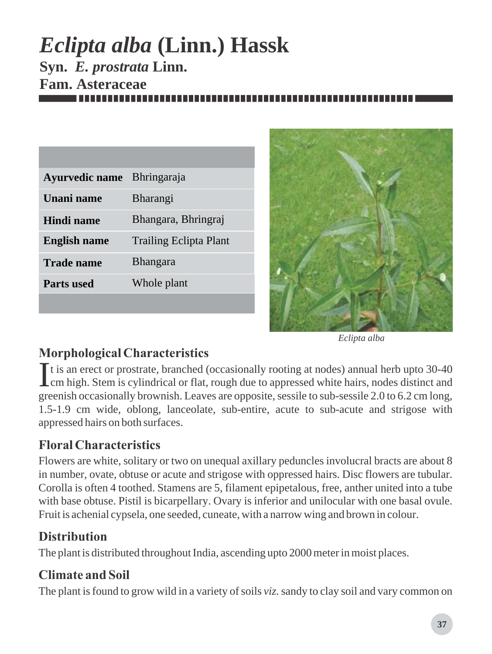# *Eclipta alba* **(Linn.) Hassk Syn.** *E. prostrata* **Linn. Fam. Asteraceae**

| <b>Ayurvedic name</b> | <b>Bhringaraja</b>            |
|-----------------------|-------------------------------|
| Unani name            | <b>Bharangi</b>               |
| Hindi name            | Bhangara, Bhringraj           |
| <b>English name</b>   | <b>Trailing Eclipta Plant</b> |
| Trade name            | <b>Bhangara</b>               |
| <b>Parts</b> used     | Whole plant                   |
|                       |                               |



*Eclipta alba*

# *Morphological Characteristics*

It is an erect or prostrate, branched (occasionally rooting at nodes) annual herb upto 30-40 Icm high. Stem is cylindrical or flat, rough due to appressed white hairs, nodes distinct and greenish occasionally brownish. Leaves are opposite, sessile to sub-sessile 2.0 to 6.2 cm long, 1.5-1.9 cm wide, oblong, lanceolate, sub-entire, acute to sub-acute and strigose with appressed hairs on both surfaces.

# *Floral Characteristics*

Flowers are white, solitary or two on unequal axillary peduncles involucral bracts are about 8 in number, ovate, obtuse or acute and strigose with oppressed hairs. Disc flowers are tubular. Corolla is often 4 toothed. Stamens are 5, filament epipetalous, free, anther united into a tube with base obtuse. Pistil is bicarpellary. Ovary is inferior and unilocular with one basal ovule. Fruit is achenial cypsela, one seeded, cuneate, with a narrow wing and brown in colour.

# *Distribution*

The plant is distributed throughout India, ascending upto 2000 meter in moist places.

# *Climate and Soil*

The plant is found to grow wild in a variety of soils *viz*. sandy to clay soil and vary common on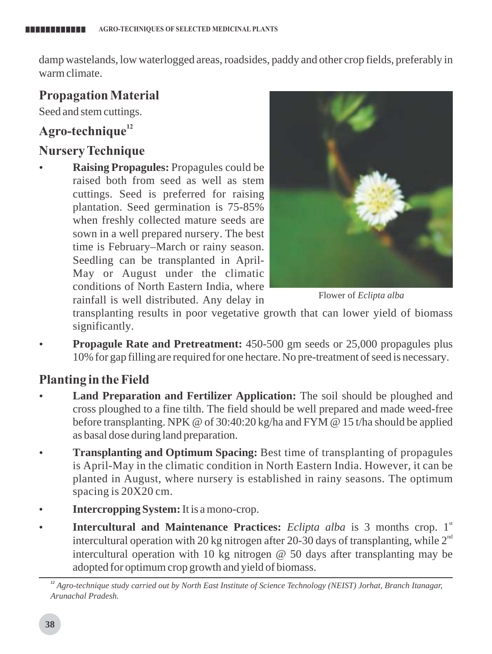damp wastelands, low waterlogged areas, roadsides, paddy and other crop fields, preferably in warm climate.

## *Propagation Material*

Seed and stem cuttings.

# *<sup>12</sup> Agro-technique*

#### *Nursery Technique*

**Raising Propagules:** Propagules could be raised both from seed as well as stem cuttings. Seed is preferred for raising plantation. Seed germination is 75-85% when freshly collected mature seeds are sown in a well prepared nursery. The best time is February–March or rainy season. Seedling can be transplanted in April-May or August under the climatic conditions of North Eastern India, where rainfall is well distributed. Any delay in



Flower of *Eclipta alba*

transplanting results in poor vegetative growth that can lower yield of biomass significantly.

**Propagule Rate and Pretreatment:** 450-500 gm seeds or 25,000 propagules plus 10% for gap filling are required for one hectare. No pre-treatment of seed is necessary.

## *Planting in the Field*

- **Land Preparation and Fertilizer Application:** The soil should be ploughed and cross ploughed to a fine tilth. The field should be well prepared and made weed-free before transplanting. NPK @ of 30:40:20 kg/ha and FYM @ 15 t/ha should be applied as basal dose during land preparation.
- **Transplanting and Optimum Spacing:** Best time of transplanting of propagules is April-May in the climatic condition in North Eastern India. However, it can be planted in August, where nursery is established in rainy seasons. The optimum spacing is 20X20 cm.
- Intercropping System: It is a mono-crop.
- **Intercultural and Maintenance Practices:** *Eclipta alba* is 3 months crop. 1<sup>st</sup> intercultural operation with 20 kg nitrogen after 20-30 days of transplanting, while  $2^{nd}$ intercultural operation with 10 kg nitrogen @ 50 days after transplanting may be adopted for optimum crop growth and yield of biomass.

*<sup>12</sup> Agro-technique study carried out by North East Institute of Science Technology (NEIST) Jorhat, Branch Itanagar, Arunachal Pradesh.*